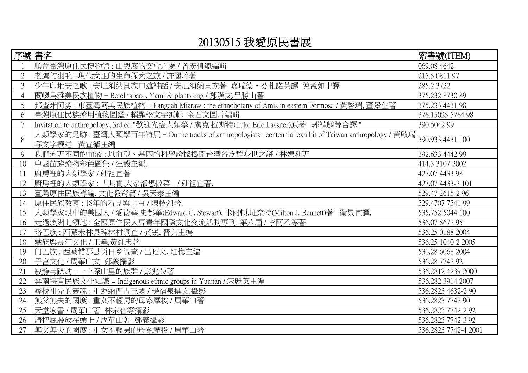## 20130515 我愛原民書展

| 序號書名           |                                                                                                                       | 索書號(ITEM)            |
|----------------|-----------------------------------------------------------------------------------------------------------------------|----------------------|
|                | 順益臺灣原住民博物館 : 山與海的交會之處 / 曾廣植總編輯                                                                                        | 069.08 4642          |
| $\overline{2}$ | 老鷹的羽毛:現代女巫的生命探索之旅/許麗玲著                                                                                                | 215.5 0811 97        |
| 3              | 少年印地安之歌 : 安尼須納貝族口述神話 / 安尼須納貝族著 嘉瑞德・芬札諾英譯 陳孟如中譯                                                                        | 285.2 3722           |
| $\overline{4}$ | 蘭嶼島雅美民族植物 = Botel tabaco, Yami & plants eng / 鄭漢文,呂勝由著                                                                | 375.232 8730 89      |
| 5              | 邦查米阿勞: 東臺灣阿美民族植物 = Pangcah Miaraw : the ethnobotany of Amis in eastern Formosa / 黃啓瑞, 董景生著                            | 375.233 4431 98      |
| 6              | 臺灣原住民族藥用植物圖鑑 / 賴顯松文字編輯 金石文圖片編輯                                                                                        | 376.15025 5764 98    |
|                | Invitation to anthropology, 3rd ed;"歡迎光臨人類學 / 盧克.拉斯特(Luke Eric Lassiter)原著 郭禎麟等合譯."                                   | 390 5042 99          |
| 8              | 人類學家的足跡:臺灣人類學百年特展 = On the tracks of anthropologists : centennial exhibit of Taiwan anthropology / 黃啟瑞<br>等文字撰述 黃宣衛主編 | 390.933 4431 100     |
| 9              | 我們流著不同的血液:以血型、基因的科學證據揭開台灣各族群身世之謎 / 林媽利著                                                                               | 392.633 4442 99      |
| 10             | 中國苗族藥物彩色圖集 / 汪毅主編.                                                                                                    | 414.3 3107 2002      |
| 11             | 廚房裡的人類學家 / 莊祖宜著                                                                                                       | 427.07 4433 98       |
| 12             | 廚房裡的人類學家:「其實,大家都想做菜」/莊祖宜著.                                                                                            | 427.07 4433-2 101    |
| 13             | 臺灣原住民族導論. 文化教育篇 / 吳天泰主編                                                                                               | 529.47 2615-2 96     |
| 14             | 原住民族教育: 18年的看見與明白 / 陳枝烈著.                                                                                             | 529.4707 7541 99     |
| 15             | 人類學家眼中的美國人 / 愛德華.史都華(Edward C. Stewart), 米爾頓.班奈特(Milton J. Bennett)著 衛景宜譯.                                            | 535.752 5044 100     |
| 16             | 走過澳洲北領地 : 全國原住民大專青年國際文化交流活動專刊. 第八屆 / 李阿乙等著                                                                            | 536.07 8672 95       |
| 17             | 珞巴族:西藏米林县琼林村调查 / 龚锐, 晋美主编                                                                                             | 536.25 0188 2004     |
| 18             | 藏族與長江文化 / 王堯,黃維忠著                                                                                                     | 536.25 1040-2 2005   |
| 19             | 门巴族:西藏错那县贡日乡调查/吕昭义,红梅主编                                                                                               | 536.28 6068 2004     |
| 20             | 子宮文化/周華山文 鄭義攝影                                                                                                        | 536.28 7742 92       |
| 21             | 寂静与躁动: 一个深山里的族群 / 彭兆荣著                                                                                                | 536.2812 4239 2000   |
| 22             | 雲南特有民族文化知識 = Indigenous ethnic groups in Yunnan / 宋麗英主編                                                               | 536.282 3914 2007    |
| 23             | 尋找祖先的靈魂:重返納西古王國/楊福泉撰文.攝影                                                                                              | 536.2823 4632-2 90   |
| 24             | 無父無夫的國度:重女不輕男的母系摩梭 / 周華山著                                                                                             | 536.2823 7742 90     |
| 25             | 天堂家書 / 周華山著 林宗智等攝影                                                                                                    | 536.2823 7742-2 92   |
| 26             | 請把屁股放在頭上 / 周華山著 鄭義攝影                                                                                                  | 536.2823 7742-3 92   |
| 27             | 無父無夫的國度:重女不輕男的母系摩梭 / 周華山著                                                                                             | 536.2823 7742-4 2001 |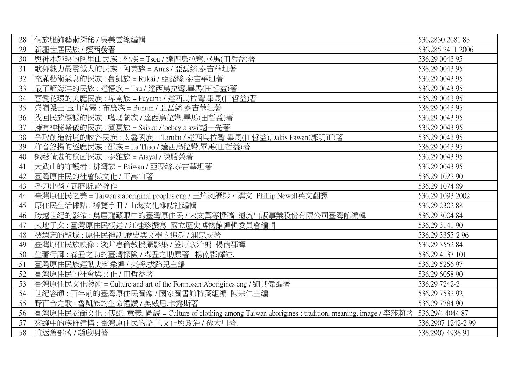| 28 | 侗族服飾藝術探秘 / 吳美雲總編輯                                                                                     | 536.2830 2681 83   |
|----|-------------------------------------------------------------------------------------------------------|--------------------|
| 29 | 新疆世居民族 / 續西發著                                                                                         | 536.285 2411 2006  |
| 30 | 與神木輝映的阿里山民族:鄒族 = Tsou / 達西烏拉彎.畢馬(田哲益)著                                                                | 536.29 0043 95     |
| 31 | 歌舞魅力最震憾人的民族 : 阿美族 = Amis / 亞磊絲.泰吉華坦著                                                                  | 536.29 0043 95     |
| 32 | 充滿藝術氣息的民族: 魯凱族 = Rukai / 亞磊絲 泰吉華坦著                                                                    | 536.29 0043 95     |
| 33 | 最了解海洋的民族:達悟族 = Tau / 達西烏拉彎.畢馬(田哲益)著                                                                   | 536.29 0043 95     |
| 34 | 喜愛花環的美麗民族: 卑南族 = Puyuma / 達西烏拉彎.畢馬(田哲益)著                                                              | 536.29 0043 95     |
| 35 | 崇嶺隱士 玉山精靈 : 布農族 = Bunum / 亞磊絲 泰吉華坦著                                                                   | 536.29 0043 95     |
| 36 | 找回民族標誌的民族:噶瑪蘭族/達西烏拉彎.畢馬(田哲益)著                                                                         | 536.29 0043 95     |
| 37 | 擁有神秘祭儀的民族:賽夏族 = Saisiat / 'oebay a awi'趙一先著                                                           | 536.29 0043 95     |
| 38 | 爭取創造新境的峽谷民族:太魯閣族 = Taruku / 達西烏拉彎 畢馬(田哲益),Dakis Pawan(郭明正)著                                           | 536.29 0043 95     |
| 39 | 杵音悠揚的逐鹿民族: 邵族 = Ita Thao / 達西烏拉彎.畢馬(田哲益)著                                                             | 536.29 0043 95     |
| 40 | 織藝精湛的紋面民族: 泰雅族 = Atayal / 陳勝榮著                                                                        | 536.29 0043 95     |
| 41 | 大武山的守護者: 排灣族 = Paiwan / 亞磊絲.泰吉華坦著                                                                     | 536.29 0043 95     |
| 42 | 臺灣原住民的社會與文化 / 王嵩山著                                                                                    | 536.29 1022 90     |
| 43 | 番刀出鞘 / 瓦歷斯.諾幹作                                                                                        | 536.29 1074 89     |
| 44 | 臺灣原住民之美 = Taiwan's aboriginal peoples eng / 王煒昶攝影 · 撰文 Phillip Newell英文翻譯                             | 536.29 1093 2002   |
| 45 | 原住民生活據點:導覽手冊 / 山海文化雜誌社編輯                                                                              | 536.29 2302 88     |
| 46 | 跨越世紀的影像:鳥居龍藏眼中的臺灣原住民 / 宋文薰等撰稿 遠流出版事業股份有限公司臺灣館編輯                                                       | 536.29 3004 84     |
| 47 | 大地子女:臺灣原住民概述 / 江桂珍撰寫 國立歷史博物館編輯委員會編輯                                                                   | 536.29 3141 90     |
| 48 | 被遺忘的聖域:原住民神話.歷史與文學的追溯 / 浦忠成著                                                                          | 536.29 3355-2 96   |
| 49 | 臺灣原住民族映像:淺井惠倫教授攝影集/笠原政治編 楊南郡譯                                                                         | 536.29 3552 84     |
| 50 | 生蕃行腳:森丑之助的臺灣探險 / 森丑之助原著 楊南郡譯註.                                                                        | 536.29 4137 101    |
| 51 | 臺灣原住民族運動史料彙編 / 夷將.拔路兒主編                                                                               | 536.29 5256 97     |
| 52 | 臺灣原住民的社會與文化 / 田哲益著                                                                                    | 536.29 6058 90     |
| 53 | 臺灣原住民文化藝術 = Culture and art of the Formosan Aborigines eng / 劉其偉編著                                    | 536.29 7242-2      |
| 54 | 世紀容顏:百年前的臺灣原住民圖像 / 國家圖書館特藏組編 陳宗仁主編                                                                    | 536.29 7532 92     |
| 55 | 野百合之歌:魯凱族的生命禮讚 / 奧威尼.卡露斯著                                                                             | 536.29 7784 90     |
| 56 | 臺灣原住民衣飾文化:傳統. 意義. 圖說 = Culture of clothing among Taiwan aborigines : tradition, meaning, image / 李莎莉著 | 536.29/4 4044 87   |
| 57 | 夾縫中的族群建構:臺灣原住民的語言.文化與政治 / 孫大川著.                                                                       | 536.2907 1242-2 99 |
| 58 | 重返舊部落 / 趙啟明著                                                                                          | 536.2907 4936 91   |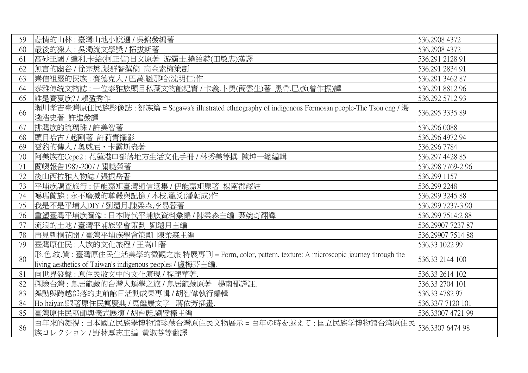| 59 | 悲情的山林:臺灣山地小說選 / 吳錦發編著                                                                                                                                       | 536.2908 4372     |
|----|-------------------------------------------------------------------------------------------------------------------------------------------------------------|-------------------|
| 60 | 最後的獵人:吳濁流文學獎/拓拔斯著                                                                                                                                           | 536.2908 4372     |
| 61 | 高砂王國 / 達利.卡給(柯正信)日文原著 游霸士.撓給赫(田敏忠)漢譯                                                                                                                        | 536.291 2128 91   |
| 62 | 無言的幽谷 / 徐宗懋,張群智撰稿 高金素梅策劃                                                                                                                                    | 536.291 2834 91   |
| 63 | 崇信祖靈的民族:賽德克人/巴萬.韃那哈(沈明仁)作                                                                                                                                   | 536.291 3462 87   |
| 64 | 泰雅傳統文物誌:一位泰雅族頭目私藏文物館紀實 / 卡義.卜勇(簡雲生)著 黑帶.巴彥(曾作振)譯                                                                                                            | 536.291 8812 96   |
| 65 | 誰是賽夏族?/賴盈秀作                                                                                                                                                 | 536.292 5712 93   |
| 66 | 瀨川孝吉臺灣原住民族影像誌: 鄒族篇 = Segawa's illustrated ethnography of indigenous Formosan people-The Tsou eng / 湯<br>淺浩史著 許進發譯                                           | 536.295 3335 89   |
| 67 | 排灣族的琉璃珠 / 許美智著                                                                                                                                              | 536.296 0088      |
| 68 | 頭目哈古 / 趙剛著 許莉青攝影                                                                                                                                            | 536.296 4972 94   |
| 69 | 雲豹的傳人 / 奧威尼 · 卡露斯盎著                                                                                                                                         | 536.296 7784      |
| 70 | 阿美族在Cepo2 : 花蓮港口部落地方生活文化手冊 / 林秀美等撰 陳坤一總編輯                                                                                                                   | 536.297 4428 85   |
| 71 | 蘭嶼報告1987-2007 / 關曉榮著                                                                                                                                        | 536.298 7769-2 96 |
| 72 | 後山西拉雅人物誌 / 張振岳著                                                                                                                                             | 536.299 1157      |
| 73 | 平埔族調查旅行:伊能嘉矩臺灣通信選集/伊能嘉矩原著 楊南郡譯註                                                                                                                             | 536.299 2248      |
| 74 | 噶瑪蘭族:永不磨滅的尊嚴與記憶 / 木枝.籠爻(潘朝成)作                                                                                                                               | 536.299 3245 88   |
| 75 | 我是不是平埔人DIY / 劉還月,陳柔森,李易蓉著                                                                                                                                   | 536.299 7237-3 90 |
| 76 | 重塑臺灣平埔族圖像:日本時代平埔族資料彙編/陳柔森主編 葉婉奇翻譯                                                                                                                           | 536.299 7514:2 88 |
| 77 | 流浪的土地 / 臺灣平埔族學會策劃 劉還月主編                                                                                                                                     | 536.29907 7237 87 |
| 78 | 再見刺桐花開 / 臺灣平埔族學會策劃 陳柔森主編                                                                                                                                    | 536.29907 7514 88 |
| 79 | 臺灣原住民:人族的文化旅程 / 王嵩山著                                                                                                                                        | 536.33 1022 99    |
| 80 | 形.色.紋.質:臺灣原住民生活美學的微觀之旅 特展專刊 = Form, color, pattern, texture: A microscopic journey through the<br>living aesthetics of Taiwan's indigenous peoples / 盧梅芬主編. | 536.33 2144 100   |
| 81 | 向世界發聲:原住民散文中的文化演現 / 程麗華著.                                                                                                                                   | 536.33 2614 102   |
| 82 | 探險台灣:鳥居龍藏的台灣人類學之旅 / 鳥居龍藏原著<br>楊南郡譯註.                                                                                                                        | 536.33 2704 101   |
| 83 | 舞動與跨越部落的史前館日活動成果專輯 / 胡智偉執行編輯                                                                                                                                | 536.33 4782 97    |
| 84 | Ho haiyan!跟著原住民瘋慶典 / 馬繼康文字 蔣依芳插畫.                                                                                                                           | 536.33/7 7120 101 |
| 85 | 臺灣原住民巫師與儀式展演 / 胡台麗,劉璧榛主編                                                                                                                                    | 536.33007 4721 99 |
| 86 | 百年來的凝視:日本國立民族學博物館珍藏台灣原住民文物展示=百年の時を越えて:国立民族学博物館台湾原住民<br>族コレクション/野林厚志主編 黃淑芬等翻譯                                                                                | 536.3307 6474 98  |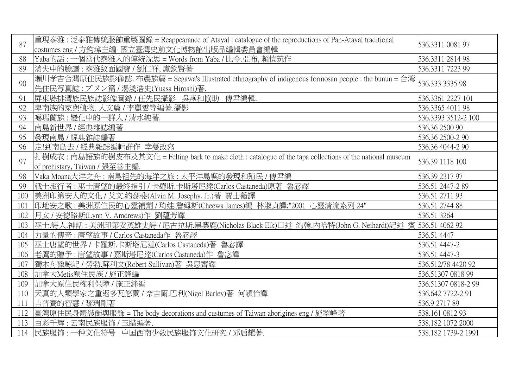| 87   | 重現泰雅: 泛泰雅傳統服飾重製圖錄 = Reappearance of Atayal: catalogue of the reproductions of Pan-Atayal traditional                                          | 536.3311 0081 97    |
|------|-----------------------------------------------------------------------------------------------------------------------------------------------|---------------------|
|      | costumes eng / 方鈞瑋主編 國立臺灣史前文化博物館出版品編輯委員會編輯                                                                                                    |                     |
| 88   | Yaba的話: 一個當代泰雅人的傳統沈思 = Words from Yaba / 比令.亞布, 賴愷筑作                                                                                          | 536.3311 2814 98    |
| 89   | 消失中的臉譜:泰雅紋面國寶 / 劉仁祥, 盧欽賢著                                                                                                                     | 536.3311 7223 99    |
| 90   | 瀨川孝吉台灣原住民族影像誌. 布農族篇 = Segawa's Illustrated ethnography of indigenous formosan people : the bunun = 台湾<br>先住民写真誌: ブヌン篇 / 湯淺浩史(Yuasa Hiroshi)著. | 536.333 3335 98     |
| 91   | 屏東縣排灣族民族誌影像圖錄 / 任先民攝影 吳燕和協助<br>傅君編輯.                                                                                                          | 536.3361 2227 101   |
| 92   | 卑南族的家與植物. 人文篇 / 李麗雲等編著.攝影                                                                                                                     | 536.3365 4011 98    |
| 93   | 噶瑪蘭族:變化中的一群人 / 清水純著.                                                                                                                          | 536.3393 3512-2 100 |
| 94   | 南島新世界 / 經典雜誌編著                                                                                                                                | 536.36 2500 90      |
| 95   | 發現南島 / 經典雜誌編著                                                                                                                                 | 536.36 2500-2 90    |
| 96   | 走!到南島去 / 經典雜誌編輯群作 幸蔓改寫                                                                                                                        | 536.36 4044-2 90    |
|      | 打樹成衣: 南島語族的樹皮布及其文化 = Felting bark to make cloth : catalogue of the tapa collections of the national museum                                    |                     |
| 97   |                                                                                                                                               | 536.39 1118 100     |
|      | of prehistary, Taiwan / 張至善主編.                                                                                                                |                     |
| 98   | Vaka Moana大洋之舟: 南島祖先的海洋之旅: 太平洋島嶼的發現和殖民 / 傅君編                                                                                                  | 536.39 2317 97      |
| 99   | 戰士旅行者 : 巫士唐望的最終指引 / 卡羅斯.卡斯塔尼達(Carlos Castaneda)原著 魯宓譯                                                                                         | 536.51 2447-2 89    |
| 100  | 美洲印第安人的文化 / 艾文.約瑟斐(Alvin M. Josephy, Jr.)著 賈士蘅譯                                                                                               | 536.51 2711 93      |
| 101  | 印地安之歌 : 美洲原住民的心靈補劑 / 琦娃.詹姆斯(Cheewa James)編 林淑貞譯;"2001 心靈清流系列 24"                                                                              | 536.51 2744 88      |
| 102  | 月女 / 安德路斯(Lynn V. Amdrews)作 劉蘊芳譯                                                                                                              | 536.51 3264         |
| 103  | 巫士.詩人.神話 : 美洲印第安英雄史詩 / 尼古拉斯.黑麋鹿(Nicholas Black Elk)口述 約翰.内哈特(John G. Neihardt)記述 賓 536.51 4062 92                                             |                     |
| 104  | 力量的傳奇: 唐望故事 / Carlos Castaneda作 魯宓譯                                                                                                           | 536.51 4447         |
| 105  | 巫士唐望的世界 / 卡羅斯.卡斯塔尼達(Carlos Castaneda)著 魯宓譯                                                                                                    | 536.51 4447-2       |
| 106  | 老鷹的贈予: 唐望故事 / 嘉斯塔尼達(Carlos Castaneda)作 魯宓譯                                                                                                    | 536.51 4447-3       |
| 107  | 獨木舟獵鯨記 / 勞勃.蘇利文(Robert Sullivan)著 吳思齊譯                                                                                                        | 536.512/78 4420 92  |
| 108  | 加拿大Metis原住民族 / 施正鋒編                                                                                                                           | 536.51307 0818 99   |
| 109  | 加拿大原住民權利保障 / 施正鋒編                                                                                                                             | 536.51307 0818-2 99 |
| 110  | 天真的人類學家之重返多瓦悠蘭 / 奈吉爾.巴利(Nigel Barley)著 何穎怡譯                                                                                                   | 536.642 7722-2 91   |
| -111 | 吉普賽的智慧 / 黎瑞剛著                                                                                                                                 | 536.9 2717 89       |
| 112  | <b>臺灣原住民身體裝飾與服飾 = The body decorations and custumes of Taiwan aborigines eng / 施翠峰著</b>                                                       | 538.161 0812 93     |
| 113  | 百彩千辉:云南民族服饰/玉腊编著.                                                                                                                             | 538.182 1072 2000   |
|      | 114 民族服饰: 一种文化符号 中国西南少数民族服饰文化研究 / 邓启耀著.                                                                                                       | 538.182 1739-2 1991 |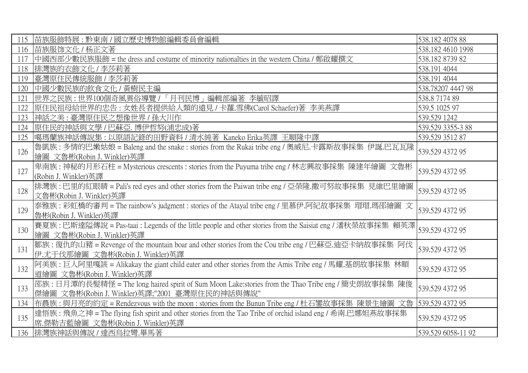| 115 | 苗族服飾特展:黔東南 / 國立歷史博物館編輯委員會編輯                                                                                     | 538.182 4078 88    |
|-----|-----------------------------------------------------------------------------------------------------------------|--------------------|
| 116 | 苗族服饰文化 / 杨正文著                                                                                                   | 538.182 4610 1998  |
| 117 | 中國西部少數民族服飾 = the dress and costume of minority nationalties in the western China / 鄭啟耀撰文                        | 538.182 8739 82    |
| 118 | 排灣族的衣飾文化 / 李莎莉著                                                                                                 | 538.191 4044       |
| 119 | 臺灣原住民傳統服飾 / 李莎莉著                                                                                                | 538.191 4044       |
| 120 | 中國少數民族的飲食文化 / 黃樹民主編                                                                                             | 538.78207 4447 98  |
| 121 | 世界之民族:世界100個奇風異俗導覽 / 「月刊民博」編輯部編著 李毓昭譯                                                                           | 538.8717489        |
| 122 | 原住民祖母給世界的忠告: 女姓長者提供給人類的遠見 / 卡蘿.雪佛(Carol Schaefer)著 李美燕譯                                                         | 539.5 1025 97      |
| 123 | 神話之美:臺灣原住民之想像世界 / 孫大川作                                                                                          | 539.529 1242       |
| 124 | 原住民的神話與文學 / 巴蘇亞. 博伊哲努(浦忠成)著                                                                                     | 539.529 3355-3 88  |
| 125 | 噶瑪蘭族神話傳說集 : 以原語記錄的田野資料 / 清水純著 Kaneko Erika英譯 王順隆中譯                                                              | 539.529 3512 87    |
| 126 | 魯凱族:多情的巴嫩姑娘 = Baleng and the snake : stories from the Rukai tribe eng / 奧威尼.卡露斯故事採集 伊誕.巴瓦瓦隆                     | 539.529 4372 95    |
|     | 繪圖 文魯彬(Robin J. Winkler)英譯                                                                                      |                    |
| 127 | 卑南族: 神秘的月形石柱 = Mysterious crescents : stories from the Puyuma tribe eng / 林志興故事採集 陳建年繪圖 文魯彬                     | 539.529 4372 95    |
|     | (Robin J. Winkler)英譯                                                                                            |                    |
| 128 | 排灣族:巴里的紅眼睛 = Pali's red eyes and other stories from the Paiwan tribe eng / 亞榮隆.撒可努故事採集 見維巴里繪圖                   | 539.529 4372 95    |
|     | 文魯彬(Robin J. Winkler)英譯                                                                                         |                    |
| 129 | 泰雅族:彩虹橋的審判 = The rainbow's judgment : stories of the Atayal tribe eng / 里慕伊.阿紀故事採集 瑁瑁.瑪邵繪圖文                     | 539.529 4372 95    |
|     | 魯彬(Robin J. Winkler)英譯                                                                                          |                    |
| 130 | 賽夏族 : 巴斯達隘傳說 = Pas-taai : Legends of the little people and other stories from the Saisiat eng / 潘秋榮故事採集 賴英澤     | 539.529 4372 95    |
|     | 繪圖 文魯彬(Robin J. Winkler)英譯                                                                                      |                    |
| 131 | 鄒族:復仇的山豬 = Revenge of the mountain boar and other stories from the Cou tribe eng / 巴蘇亞.迪亞卡納故事採集 阿伐              | 539.529 4372 95    |
|     | 伊.尤于伐那繪圖 文魯彬(Robin J. Winkler)英譯                                                                                |                    |
| 132 | 阿美族: 巨人阿里嘎該 = Alikakay the giant child eater and other stories from the Amis Tribe eng / 馬耀.基朗故事採集 林順           | 539.529 4372 95    |
|     | 道繪圖 文魯彬(Robin J. Winkler)英譯                                                                                     |                    |
| 133 | 邵族:日月潭的長髮精怪 = The long haired spirit of Sum Moon Lake:stories from the Thao Tribe eng / 簡史朗故事採集 陳俊              | 539.529 4372 95    |
|     | 傑繪圖 文魯彬(Robin J. Winkler)英譯;"2001 臺灣原住民的神話與傳說"                                                                  |                    |
| 134 | 布農族 : 與月亮的約定 = Rendezvous with the moon : stories from the Bunun Tribe eng / 杜石鑾故事採集 陳景生繪圖 文魯   539.529 4372 95 |                    |
| 135 | 達悟族: 飛魚之神 = The flying fish spirit and other stories from the Tao Tribe of orchid island eng / 希南.巴娜妲燕故事採集      | 539.529 4372 95    |
|     | 席.傑勒吉藍繪圖 文魯彬(Robin J. Winkler)英譯                                                                                |                    |
|     | 136 排灣族神話與傳說 / 達西烏拉彎.畢馬著                                                                                        | 539.529 6058-11 92 |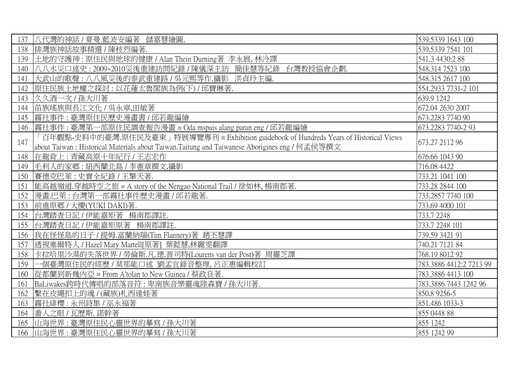| 137 | 八代灣的神話 / 夏曼.藍波安編著 儲嘉慧繪圖.                                                                       | 539.5339 1643 100       |
|-----|------------------------------------------------------------------------------------------------|-------------------------|
| 138 | 排灣族神話故事精選 / 陳枝烈編著.                                                                             | 539.5339 7541 101       |
| 139 | 土地的守護神 : 原住民與地球的健康 / Alan Thein Durning著 李永展, 林泠譯                                              | 541.3 4430:2 88         |
| 140 | 八八水災口述史:2009~2010災後重建訪問紀錄 / 陳儀深主訪 簡佳慧等紀錄 台灣教授協會企劃.                                             | 548.314 7523 100        |
| 141 | 大武山的歌聲:八八風災後的泰武重建路 / 吳元熙等作.攝影 洪貞玲主編.                                                           | 548.315 2617 100        |
| 142 | 原住民族土地權之探討:以花蓮太魯閣族為例(下)/邱寶琳著.                                                                  | 554.2933 7731-2 101     |
| 143 | 久久酒一次 / 孫大川著                                                                                   | 639.9 1242              |
| 144 | 苗族瑤族與長江文化 / 吳永章,田敏著                                                                            | 672.04 2630 2007        |
| 145 | 霧社事件:臺灣原住民歷史漫畫書 / 邱若龍編繪                                                                        | 673.2283 7740 90        |
| 146 | 霧社事件:臺灣第一部原住民調查報告漫畫 = Oda mspais alang paran eng / 邱若龍編繪                                       | 673.2283 7740-2 93      |
| 147 | 「百年觀點-史料中的臺灣.原住民及臺東」特展導覽專刊 = Exhibition guidebook of Hundreds Years of Historical Views        | 673.27 2112 96          |
|     | about Taiwan : Historical Materials about Taiwan.Taitung and Taiwanese Aborigines eng / 何孟侯等撰文 |                         |
| 148 | 在龍背上:青藏高原十年紀行 / 王志宏作                                                                           | 676.66 1043 90          |
| 149 | 毛利人的家鄉:紐西蘭北島 / 李憲章撰文,攝影                                                                        | 716.08 4422             |
| 150 | 賽德克巴萊:史實全紀錄 / 王擎天著.                                                                            | 733.21 1041 100         |
| 151 | 能高越嶺道.穿越時空之旅 = A story of the Nengao National Trail / 徐如林, 楊南郡著.                               | 733.28 2844 100         |
| 152 | 漫畫.巴萊:台灣第一部霧社事件歷史漫畫/邱若龍著.                                                                      | 733.2857 7740 100       |
| 153 | 前進原鄉 / 大慶(YUKI DAKI)著.                                                                         | 733.69 4000 101         |
| 154 | 台灣踏查日記 / 伊能嘉矩著 楊南郡譯註.                                                                          | 733.7 2248              |
| 155 | 台灣踏查日記 / 伊能嘉矩原著 楊南郡譯註.                                                                         | 733.7 2248 101          |
| 156 | 我在怪怪島的日子 / 提姆.富蘭納瑞(Tim Flannery)著 趙丕慧譯                                                         | 739.59 3421 91          |
| 157 | 透視塞爾特人 / Hazel Mary Martell[原著] 葉懿慧,林麗雯翻譯                                                      | 740.21 7121 84          |
| 158 | 卡拉哈里沙漠的失落世界 / 勞倫斯.凡.德.普司特(Lourens van der Post)著 周靈芝譯                                          | 768.19 8012 92          |
| 159 | 個臺灣原住民的經歷 / 莫那能口述 劉孟宜錄音整理, 呂正惠編輯校訂                                                             | 783.3886 4412:2 7213 99 |
| 160 | 從都蘭到新幾內亞 = From A'tolan to New Guinea / 蔡政良著.                                                  | 783.3886 4413 100       |
| 161 | BaLiwakes跨時代傳唱的部落音符:卑南族音樂靈魂陸森寶 / 孫大川著.                                                         | 783.3886 7443 1242 96   |
| 162 | 繫在皮繩扣上的魂 / (藏族)札西達娃著                                                                           | 850.8 9256-5            |
| 163 | 霧社緋櫻:永州詩集 / 巫永福著                                                                               | 851.486 1033-3          |
| 164 | 番人之眼 / 瓦歷斯. 諾幹著                                                                                | 855 0448 88             |
| 165 | 山海世界:臺灣原住民心靈世界的摹寫/孫大川著                                                                         | 855 1242                |
| 166 | 山海世界:臺灣原住民心靈世界的摹寫 / 孫大川著                                                                       | 855 1242 99             |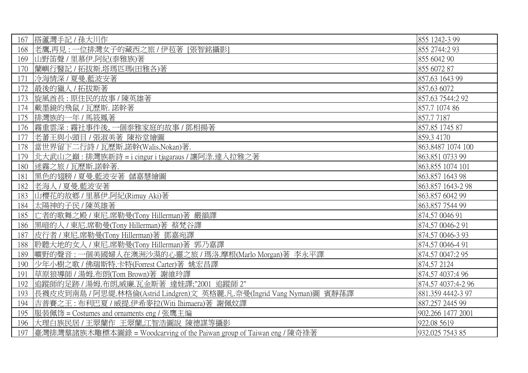| 167 | 搭蘆灣手記 / 孫大川作                                                          | 855 1242-3 99      |
|-----|-----------------------------------------------------------------------|--------------------|
| 168 | 老鷹,再見:一位排灣女子的藏西之旅 / 伊苞著 [張智銘攝影]                                       | 855 2744:2 93      |
| 169 | 山野笛聲 / 里慕伊.阿紀(泰雅族)著                                                   | 855 6042 90        |
| 170 | 蘭嶼行醫記 / 拓拔斯.塔瑪匹瑪(田雅各)著                                                | 855 6072 87        |
| 171 | 冷海情深 / 夏曼.藍波安著                                                        | 857.63 1643 99     |
| 172 | 最後的獵人 / 拓拔斯著                                                          | 857.63 6072        |
| 173 | 旋風酋長:原住民的故事 / 陳英雄著                                                    | 857.63 7544:2 92   |
| 174 | 戴墨鏡的飛鼠 / 瓦歷斯. 諾幹著                                                     | 857.7 1074 86      |
| 175 | 排灣族的一年 / 馬筱鳳著                                                         | 857.77187          |
| 176 | 霧重雲深:霧社事件後,一個泰雅家庭的故事/鄧相揚著                                             | 857.85 1745 87     |
| 177 | 老蕃王與小頭目 / 張淑美著 陳裕堂繪圖                                                  | 859.3 4170         |
| 178 | 當世界留下二行詩 / 瓦歷斯.諾幹(Walis.Nokan)著.                                      | 863.8487 1074 100  |
| 179 | 北大武山之巔:排灣族新詩 = i cingur i tjagaraus / 讓阿淥.達入拉雅之著                      | 863.851 0733 99    |
| 180 | 迷霧之旅 / 瓦歷斯.諾幹著.                                                       | 863.855 1074 101   |
| 181 | 黑色的翅膀 / 夏曼.藍波安著 儲嘉慧繪圖                                                 | 863.857 1643 98    |
| 182 | 老海人 / 夏曼.藍波安著                                                         | 863.857 1643-2 98  |
| 183 | 山櫻花的故鄉 / 里慕伊.阿紀(Rimuy Aki)著                                           | 863.857 6042 99    |
| 184 | 太陽神的子民 / 陳英雄著                                                         | 863.857 7544 99    |
| 185 | 亡者的歌舞之殿 / 東尼.席勒曼(Tony Hillerman)著 嚴韻譯                                 | 874.57 0046 91     |
| 186 | 黑暗的人 / 東尼.席勒曼(Tony Hillerman)著 蔡梵谷譯                                   | 874.57 0046-2 91   |
| 187 | 皮行者 / 東尼.席勒曼(Tony Hillerman)著 鄧嘉宛譯                                    | 874.57 0046-3 93   |
| 188 | 聆聽大地的女人 / 東尼.席勒曼(Tony Hillerman)著 郭乃嘉譯                                | 874.57 0046-4 91   |
| 189 | 曠野的聲音:一個美國婦人在澳洲沙漠的心靈之旅 / 瑪洛.摩根(Marlo Morgan)著 李永平譯                    | 874.57 0047:2 95   |
| 190 | 少年小樹之歌 / 佛瑞斯特.卡特(Forrest Carter)著 姚宏昌譯                                | 874.57 2124        |
| 191 | 草原狼導師 / 湯姆.布朗(Tom Brown)著 謝維玲譯                                        | 874.57 4037:4 96   |
| 192 | 追蹤師的足跡 / 湯姆.布朗,威廉.瓦金斯著 達娃譯;"2001 追蹤師 2"                               | 874.57 4037:4-2 96 |
| 193 | 長襪皮皮到南島 / 阿思緹.林格倫(Astrid Lindgren)文 英格麗.凡.奈曼(Ingrid Vang Nyman)圖 賓靜蓀譯 | 881.359 4442-3 97  |
| 194 | 吉普賽之王 : 布利巴夏 / 威提.伊希麥拉(Witi Ihimaera)著 謝佩妏譯                           | 887.257 2445 99    |
| 195 | 服装佩饰 = Costumes and ornaments eng / 张鹰主编                              | 902.266 1477 2001  |
| 196 | 大理白族民居/王翠蘭作 王翠蘭,江智浩圖說 陳德謀等攝影                                          | 922.08 5619        |
| 197 | 臺灣排灣羣諸族木雕標本圖錄 = Woodcarving of the Paiwan group of Taiwan eng / 陳奇祿著  | 932.025 7543 85    |